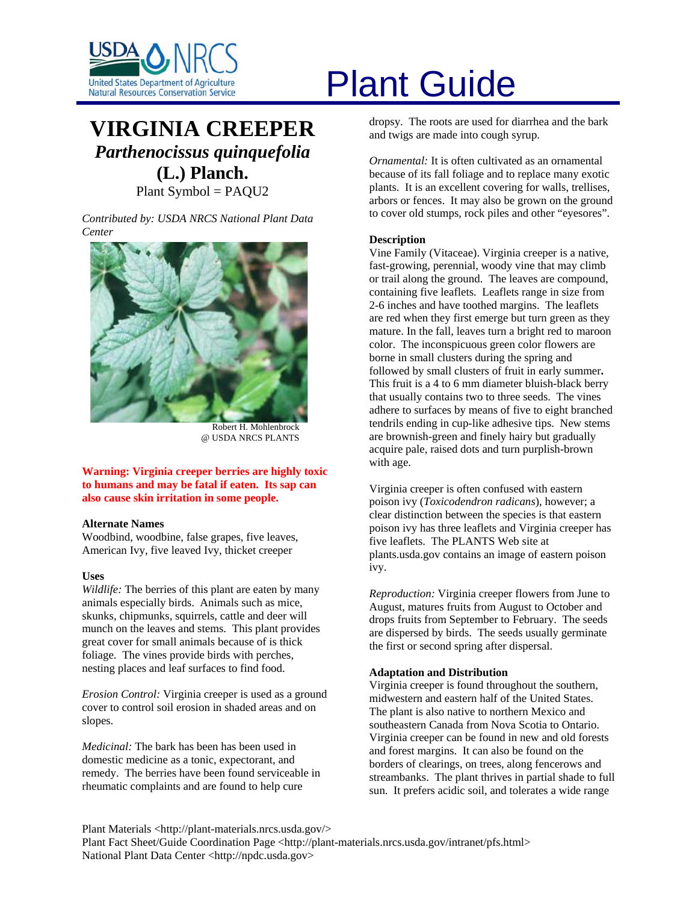

# **VIRGINIA CREEPER** *Parthenocissus quinquefolia*  **(L.) Planch.**

Plant Symbol = PAQU2

*Contributed by: USDA NRCS National Plant Data Center* 



Robert H. Mohlenbrock @ USDA NRCS PLANTS

**Warning: Virginia creeper berries are highly toxic to humans and may be fatal if eaten. Its sap can also cause skin irritation in some people.** 

#### **Alternate Names**

Woodbind, woodbine, false grapes, five leaves, American Ivy, five leaved Ivy, thicket creeper

# **Uses**

*Wildlife:* The berries of this plant are eaten by many animals especially birds. Animals such as mice, skunks, chipmunks, squirrels, cattle and deer will munch on the leaves and stems. This plant provides great cover for small animals because of is thick foliage. The vines provide birds with perches, nesting places and leaf surfaces to find food.

*Erosion Control:* Virginia creeper is used as a ground cover to control soil erosion in shaded areas and on slopes.

*Medicinal:* The bark has been has been used in domestic medicine as a tonic, expectorant, and remedy. The berries have been found serviceable in rheumatic complaints and are found to help cure

# Plant Guide

dropsy. The roots are used for diarrhea and the bark and twigs are made into cough syrup.

*Ornamental:* It is often cultivated as an ornamental because of its fall foliage and to replace many exotic plants. It is an excellent covering for walls, trellises, arbors or fences. It may also be grown on the ground to cover old stumps, rock piles and other "eyesores".

# **Description**

Vine Family (Vitaceae). Virginia creeper is a native, fast-growing, perennial, woody vine that may climb or trail along the ground. The leaves are compound, containing five leaflets. Leaflets range in size from 2-6 inches and have toothed margins. The leaflets are red when they first emerge but turn green as they mature. In the fall, leaves turn a bright red to maroon color. The inconspicuous green color flowers are borne in small clusters during the spring and followed by small clusters of fruit in early summer**.**  This fruit is a 4 to 6 mm diameter bluish-black berry that usually contains two to three seeds. The vines adhere to surfaces by means of five to eight branched tendrils ending in cup-like adhesive tips. New stems are brownish-green and finely hairy but gradually acquire pale, raised dots and turn purplish-brown with age.

Virginia creeper is often confused with eastern poison ivy (*Toxicodendron radicans*), however; a clear distinction between the species is that eastern poison ivy has three leaflets and Virginia creeper has five leaflets. The PLANTS Web site at plants.usda.gov contains an image of eastern poison ivy.

*Reproduction:* Virginia creeper flowers from June to August, matures fruits from August to October and drops fruits from September to February. The seeds are dispersed by birds. The seeds usually germinate the first or second spring after dispersal.

#### **Adaptation and Distribution**

Virginia creeper is found throughout the southern, midwestern and eastern half of the United States. The plant is also native to northern Mexico and southeastern Canada from Nova Scotia to Ontario. Virginia creeper can be found in new and old forests and forest margins. It can also be found on the borders of clearings, on trees, along fencerows and streambanks. The plant thrives in partial shade to full sun. It prefers acidic soil, and tolerates a wide range

Plant Materials <http://plant-materials.nrcs.usda.gov/> Plant Fact Sheet/Guide Coordination Page <http://plant-materials.nrcs.usda.gov/intranet/pfs.html> National Plant Data Center <http://npdc.usda.gov>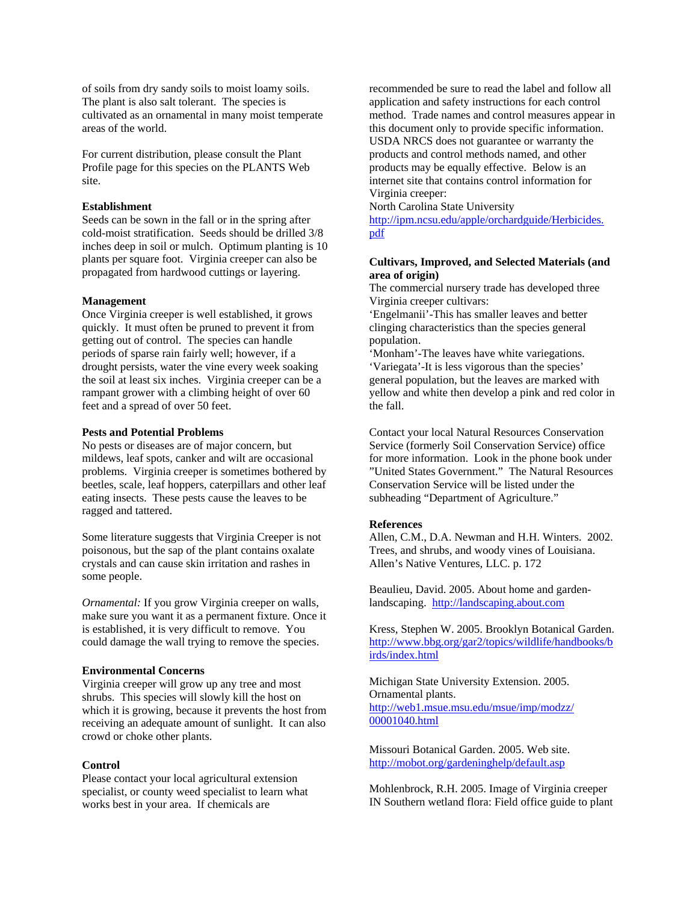of soils from dry sandy soils to moist loamy soils. The plant is also salt tolerant. The species is cultivated as an ornamental in many moist temperate areas of the world.

For current distribution, please consult the Plant Profile page for this species on the PLANTS Web site.

## **Establishment**

Seeds can be sown in the fall or in the spring after cold-moist stratification. Seeds should be drilled 3/8 inches deep in soil or mulch. Optimum planting is 10 plants per square foot. Virginia creeper can also be propagated from hardwood cuttings or layering.

#### **Management**

Once Virginia creeper is well established, it grows quickly. It must often be pruned to prevent it from getting out of control. The species can handle periods of sparse rain fairly well; however, if a drought persists, water the vine every week soaking the soil at least six inches. Virginia creeper can be a rampant grower with a climbing height of over 60 feet and a spread of over 50 feet.

#### **Pests and Potential Problems**

No pests or diseases are of major concern, but mildews, leaf spots, canker and wilt are occasional problems. Virginia creeper is sometimes bothered by beetles, scale, leaf hoppers, caterpillars and other leaf eating insects. These pests cause the leaves to be ragged and tattered.

Some literature suggests that Virginia Creeper is not poisonous, but the sap of the plant contains oxalate crystals and can cause skin irritation and rashes in some people.

*Ornamental:* If you grow Virginia creeper on walls, make sure you want it as a permanent fixture. Once it is established, it is very difficult to remove. You could damage the wall trying to remove the species.

#### **Environmental Concerns**

Virginia creeper will grow up any tree and most shrubs. This species will slowly kill the host on which it is growing, because it prevents the host from receiving an adequate amount of sunlight. It can also crowd or choke other plants.

## **Control**

Please contact your local agricultural extension specialist, or county weed specialist to learn what works best in your area. If chemicals are

recommended be sure to read the label and follow all application and safety instructions for each control method. Trade names and control measures appear in this document only to provide specific information. USDA NRCS does not guarantee or warranty the products and control methods named, and other products may be equally effective. Below is an internet site that contains control information for Virginia creeper:

North Carolina State University

http://ipm.ncsu.edu/apple/orchardguide/Herbicides. pdf

### **Cultivars, Improved, and Selected Materials (and area of origin)**

The commercial nursery trade has developed three Virginia creeper cultivars:

'Engelmanii'-This has smaller leaves and better clinging characteristics than the species general population.

'Monham'-The leaves have white variegations. 'Variegata'-It is less vigorous than the species' general population, but the leaves are marked with yellow and white then develop a pink and red color in the fall.

Contact your local Natural Resources Conservation Service (formerly Soil Conservation Service) office for more information. Look in the phone book under "United States Government." The Natural Resources Conservation Service will be listed under the subheading "Department of Agriculture."

#### **References**

Allen, C.M., D.A. Newman and H.H. Winters. 2002. Trees, and shrubs, and woody vines of Louisiana. Allen's Native Ventures, LLC. p. 172

Beaulieu, David. 2005. About home and gardenlandscaping. http://landscaping.about.com

Kress, Stephen W. 2005. Brooklyn Botanical Garden. http://www.bbg.org/gar2/topics/wildlife/handbooks/b irds/index.html

Michigan State University Extension. 2005. Ornamental plants. http://web1.msue.msu.edu/msue/imp/modzz/ 00001040.html

Missouri Botanical Garden. 2005. Web site. http://mobot.org/gardeninghelp/default.asp

Mohlenbrock, R.H. 2005. Image of Virginia creeper IN Southern wetland flora: Field office guide to plant